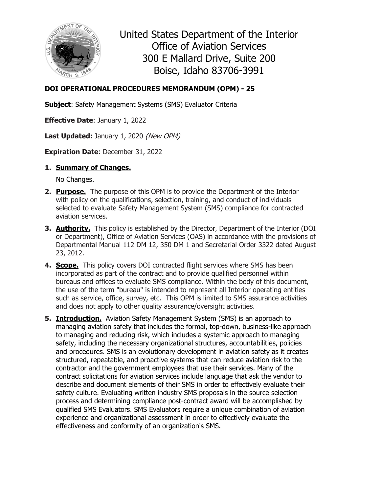

United States Department of the Interior Office of Aviation Services 300 E Mallard Drive, Suite 200 Boise, Idaho 83706-3991

# **DOI OPERATIONAL PROCEDURES MEMORANDUM (OPM) - 25**

**Subject**: Safety Management Systems (SMS) Evaluator Criteria

**Effective Date**: January 1, 2022

Last Updated: January 1, 2020 (New OPM)

**Expiration Date**: December 31, 2022

**1. Summary of Changes.**

No Changes.

- **2. Purpose.** The purpose of this OPM is to provide the Department of the Interior with policy on the qualifications, selection, training, and conduct of individuals selected to evaluate Safety Management System (SMS) compliance for contracted aviation services.
- **3. Authority.** This policy is established by the Director, Department of the Interior (DOI or Department), Office of Aviation Services (OAS) in accordance with the provisions of Departmental Manual 112 DM 12, 350 DM 1 and Secretarial Order 3322 dated August 23, 2012.
- **4. Scope.** This policy covers DOI contracted flight services where SMS has been incorporated as part of the contract and to provide qualified personnel within bureaus and offices to evaluate SMS compliance. Within the body of this document, the use of the term "bureau" is intended to represent all Interior operating entities such as service, office, survey, etc. This OPM is limited to SMS assurance activities and does not apply to other quality assurance/oversight activities.
- **5. Introduction.** Aviation Safety Management System (SMS) is an approach to managing aviation safety that includes the formal, top-down, business-like approach to managing and reducing risk, which includes a systemic approach to managing safety, including the necessary organizational structures, accountabilities, policies and procedures. SMS is an evolutionary development in aviation safety as it creates structured, repeatable, and proactive systems that can reduce aviation risk to the contractor and the government employees that use their services. Many of the contract solicitations for aviation services include language that ask the vendor to describe and document elements of their SMS in order to effectively evaluate their safety culture. Evaluating written industry SMS proposals in the source selection process and determining compliance post-contract award will be accomplished by qualified SMS Evaluators. SMS Evaluators require a unique combination of aviation experience and organizational assessment in order to effectively evaluate the effectiveness and conformity of an organization's SMS.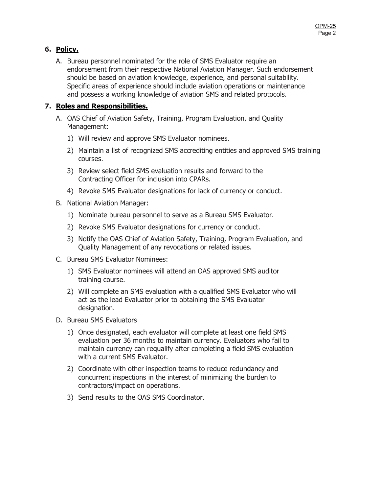# **6. Policy.**

A. Bureau personnel nominated for the role of SMS Evaluator require an endorsement from their respective National Aviation Manager. Such endorsement should be based on aviation knowledge, experience, and personal suitability. Specific areas of experience should include aviation operations or maintenance and possess a working knowledge of aviation SMS and related protocols.

# **7. Roles and Responsibilities.**

- A. OAS Chief of Aviation Safety, Training, Program Evaluation, and Quality Management:
	- 1) Will review and approve SMS Evaluator nominees.
	- 2) Maintain a list of recognized SMS accrediting entities and approved SMS training courses.
	- 3) Review select field SMS evaluation results and forward to the Contracting Officer for inclusion into CPARs.
	- 4) Revoke SMS Evaluator designations for lack of currency or conduct.
- B. National Aviation Manager:
	- 1) Nominate bureau personnel to serve as a Bureau SMS Evaluator.
	- 2) Revoke SMS Evaluator designations for currency or conduct.
	- 3) Notify the OAS Chief of Aviation Safety, Training, Program Evaluation, and Quality Management of any revocations or related issues.
- C. Bureau SMS Evaluator Nominees:
	- 1) SMS Evaluator nominees will attend an OAS approved SMS auditor training course.
	- 2) Will complete an SMS evaluation with a qualified SMS Evaluator who will act as the lead Evaluator prior to obtaining the SMS Evaluator designation.
- D. Bureau SMS Evaluators
	- 1) Once designated, each evaluator will complete at least one field SMS evaluation per 36 months to maintain currency. Evaluators who fail to maintain currency can requalify after completing a field SMS evaluation with a current SMS Evaluator.
	- 2) Coordinate with other inspection teams to reduce redundancy and concurrent inspections in the interest of minimizing the burden to contractors/impact on operations.
	- 3) Send results to the OAS SMS Coordinator.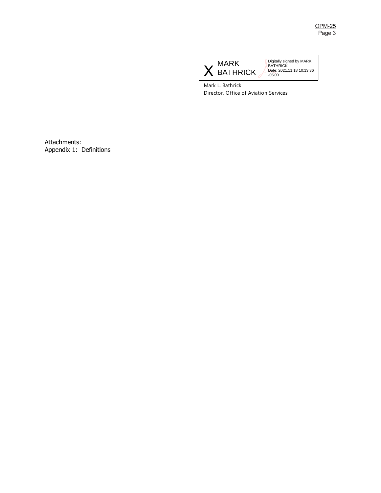

Digitally signed by MARK BATHRICK Date: 2021.11.18 10:13:36 -05'00'

Mark L. Bathrick Director, Office of Aviation Services

Attachments: Appendix 1: Definitions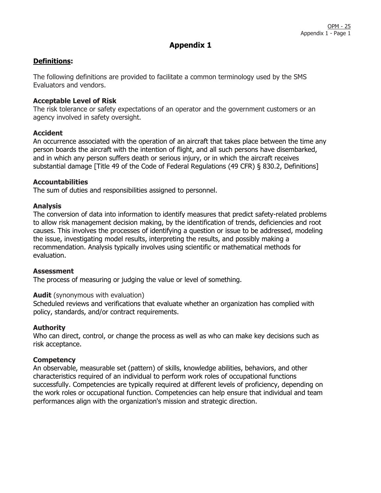# **Definitions:**

The following definitions are provided to facilitate a common terminology used by the SMS Evaluators and vendors.

# **Acceptable Level of Risk**

The risk tolerance or safety expectations of an operator and the government customers or an agency involved in safety oversight.

# **Accident**

An occurrence associated with the operation of an aircraft that takes place between the time any person boards the aircraft with the intention of flight, and all such persons have disembarked, and in which any person suffers death or serious injury, or in which the aircraft receives substantial damage [Title 49 of the Code of Federal Regulations (49 CFR) § 830.2, Definitions]

# **Accountabilities**

The sum of duties and responsibilities assigned to personnel.

# **Analysis**

The conversion of data into information to identify measures that predict safety-related problems to allow risk management decision making, by the identification of trends, deficiencies and root causes. This involves the processes of identifying a question or issue to be addressed, modeling the issue, investigating model results, interpreting the results, and possibly making a recommendation. Analysis typically involves using scientific or mathematical methods for evaluation.

#### **Assessment**

The process of measuring or judging the value or level of something.

#### **Audit** (synonymous with evaluation)

Scheduled reviews and verifications that evaluate whether an organization has complied with policy, standards, and/or contract requirements.

# **Authority**

Who can direct, control, or change the process as well as who can make key decisions such as risk acceptance.

# **Competency**

An observable, measurable set (pattern) of skills, knowledge abilities, behaviors, and other characteristics required of an individual to perform work roles of occupational functions successfully. Competencies are typically required at different levels of proficiency, depending on the work roles or occupational function. Competencies can help ensure that individual and team performances align with the organization's mission and strategic direction.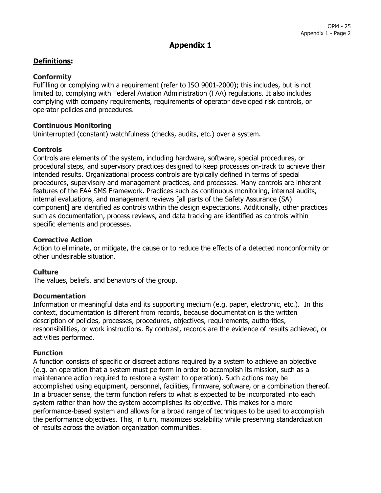# **Definitions:**

# **Conformity**

Fulfilling or complying with a requirement (refer to ISO 9001-2000); this includes, but is not limited to, complying with Federal Aviation Administration (FAA) regulations. It also includes complying with company requirements, requirements of operator developed risk controls, or operator policies and procedures.

# **Continuous Monitoring**

Uninterrupted (constant) watchfulness (checks, audits, etc.) over a system.

# **Controls**

Controls are elements of the system, including hardware, software, special procedures, or procedural steps, and supervisory practices designed to keep processes on-track to achieve their intended results. Organizational process controls are typically defined in terms of special procedures, supervisory and management practices, and processes. Many controls are inherent features of the FAA SMS Framework. Practices such as continuous monitoring, internal audits, internal evaluations, and management reviews [all parts of the Safety Assurance (SA) component] are identified as controls within the design expectations. Additionally, other practices such as documentation, process reviews, and data tracking are identified as controls within specific elements and processes.

# **Corrective Action**

Action to eliminate, or mitigate, the cause or to reduce the effects of a detected nonconformity or other undesirable situation.

# **Culture**

The values, beliefs, and behaviors of the group.

#### **Documentation**

Information or meaningful data and its supporting medium (e.g. paper, electronic, etc.). In this context, documentation is different from records, because documentation is the written description of policies, processes, procedures, objectives, requirements, authorities, responsibilities, or work instructions. By contrast, records are the evidence of results achieved, or activities performed.

# **Function**

A function consists of specific or discreet actions required by a system to achieve an objective (e.g. an operation that a system must perform in order to accomplish its mission, such as a maintenance action required to restore a system to operation). Such actions may be accomplished using equipment, personnel, facilities, firmware, software, or a combination thereof. In a broader sense, the term function refers to what is expected to be incorporated into each system rather than how the system accomplishes its objective. This makes for a more performance-based system and allows for a broad range of techniques to be used to accomplish the performance objectives. This, in turn, maximizes scalability while preserving standardization of results across the aviation organization communities.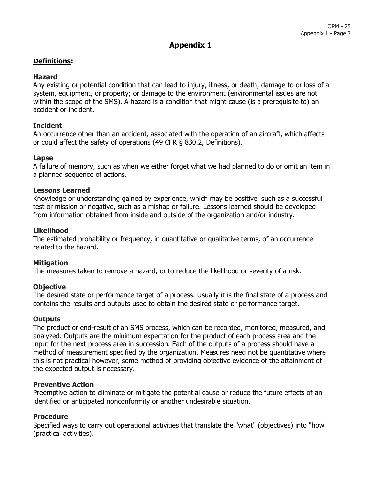# **Definitions:**

# **Hazard**

Any existing or potential condition that can lead to injury, illness, or death; damage to or loss of a system, equipment, or property; or damage to the environment (environmental issues are not within the scope of the SMS). A hazard is a condition that might cause (is a prerequisite to) an accident or incident.

# **Incident**

An occurrence other than an accident, associated with the operation of an aircraft, which affects or could affect the safety of operations (49 CFR § 830.2, Definitions).

# **Lapse**

A failure of memory, such as when we either forget what we had planned to do or omit an item in a planned sequence of actions.

# **Lessons Learned**

Knowledge or understanding gained by experience, which may be positive, such as a successful test or mission or negative, such as a mishap or failure. Lessons learned should be developed from information obtained from inside and outside of the organization and/or industry.

# **Likelihood**

The estimated probability or frequency, in quantitative or qualitative terms, of an occurrence related to the hazard.

# **Mitigation**

The measures taken to remove a hazard, or to reduce the likelihood or severity of a risk.

# **Objective**

The desired state or performance target of a process. Usually it is the final state of a process and contains the results and outputs used to obtain the desired state or performance target.

#### **Outputs**

The product or end-result of an SMS process, which can be recorded, monitored, measured, and analyzed. Outputs are the minimum expectation for the product of each process area and the input for the next process area in succession. Each of the outputs of a process should have a method of measurement specified by the organization. Measures need not be quantitative where this is not practical however, some method of providing objective evidence of the attainment of the expected output is necessary.

#### **Preventive Action**

Preemptive action to eliminate or mitigate the potential cause or reduce the future effects of an identified or anticipated nonconformity or another undesirable situation.

# **Procedure**

Specified ways to carry out operational activities that translate the "what" (objectives) into "how" (practical activities).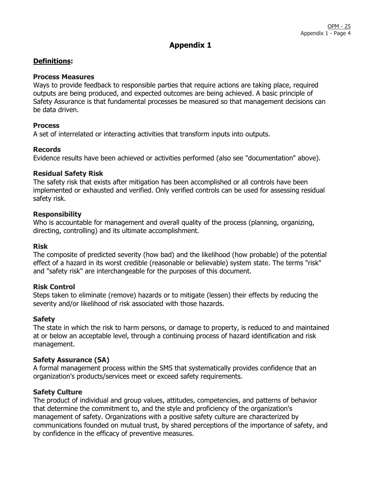# **Definitions:**

# **Process Measures**

Ways to provide feedback to responsible parties that require actions are taking place, required outputs are being produced, and expected outcomes are being achieved. A basic principle of Safety Assurance is that fundamental processes be measured so that management decisions can be data driven.

# **Process**

A set of interrelated or interacting activities that transform inputs into outputs.

# **Records**

Evidence results have been achieved or activities performed (also see "documentation" above).

# **Residual Safety Risk**

The safety risk that exists after mitigation has been accomplished or all controls have been implemented or exhausted and verified. Only verified controls can be used for assessing residual safety risk.

# **Responsibility**

Who is accountable for management and overall quality of the process (planning, organizing, directing, controlling) and its ultimate accomplishment.

#### **Risk**

The composite of predicted severity (how bad) and the likelihood (how probable) of the potential effect of a hazard in its worst credible (reasonable or believable) system state. The terms "risk" and "safety risk" are interchangeable for the purposes of this document.

# **Risk Control**

Steps taken to eliminate (remove) hazards or to mitigate (lessen) their effects by reducing the severity and/or likelihood of risk associated with those hazards.

#### **Safety**

The state in which the risk to harm persons, or damage to property, is reduced to and maintained at or below an acceptable level, through a continuing process of hazard identification and risk management.

# **Safety Assurance (SA)**

A formal management process within the SMS that systematically provides confidence that an organization's products/services meet or exceed safety requirements.

# **Safety Culture**

The product of individual and group values, attitudes, competencies, and patterns of behavior that determine the commitment to, and the style and proficiency of the organization's management of safety. Organizations with a positive safety culture are characterized by communications founded on mutual trust, by shared perceptions of the importance of safety, and by confidence in the efficacy of preventive measures.